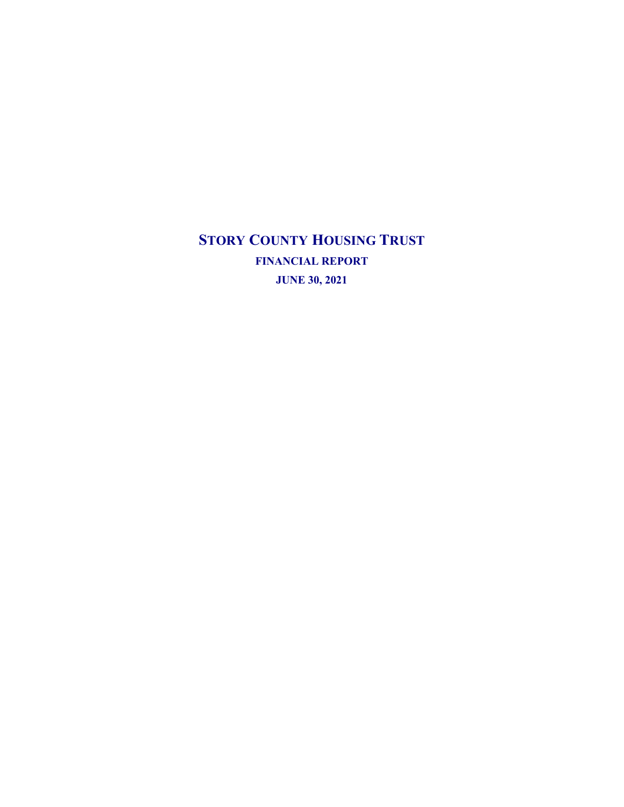**STORY COUNTY HOUSING TRUST FINANCIAL REPORT JUNE 30, 2021**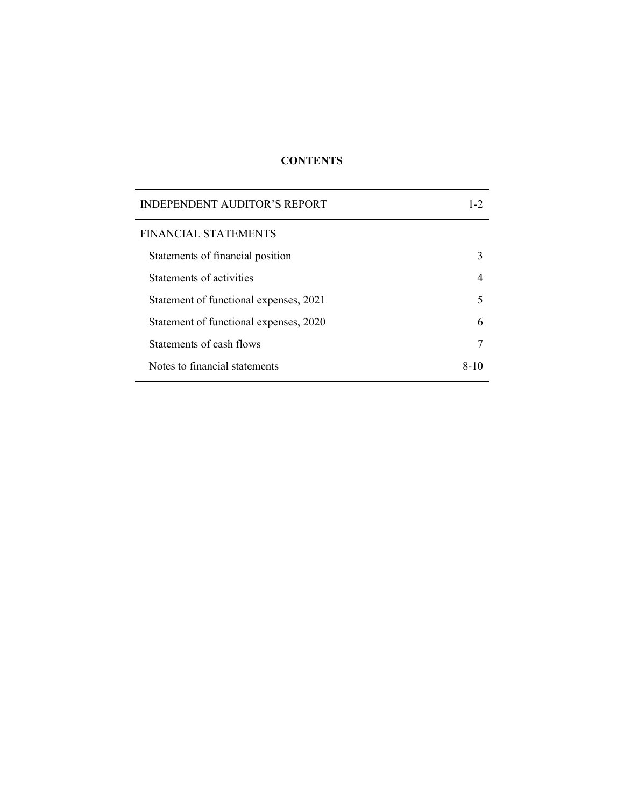# **CONTENTS**

| <b>INDEPENDENT AUDITOR'S REPORT</b>    | 1-2 |
|----------------------------------------|-----|
| FINANCIAL STATEMENTS                   |     |
| Statements of financial position       |     |
| Statements of activities               |     |
| Statement of functional expenses, 2021 |     |
| Statement of functional expenses, 2020 |     |
| Statements of cash flows               |     |
| Notes to financial statements          |     |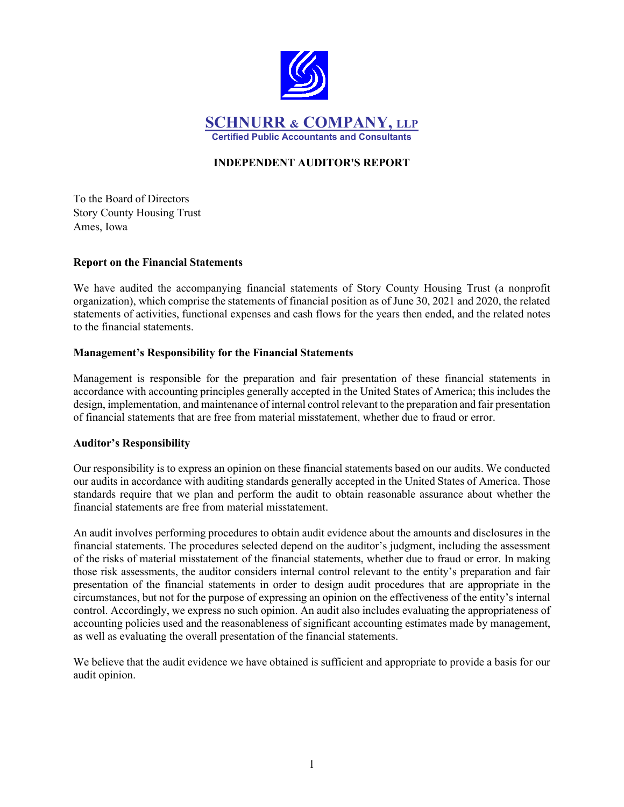

# **INDEPENDENT AUDITOR'S REPORT**

To the Board of Directors Story County Housing Trust Ames, Iowa

## **Report on the Financial Statements**

We have audited the accompanying financial statements of Story County Housing Trust (a nonprofit organization), which comprise the statements of financial position as of June 30, 2021 and 2020, the related statements of activities, functional expenses and cash flows for the years then ended, and the related notes to the financial statements.

# **Management's Responsibility for the Financial Statements**

Management is responsible for the preparation and fair presentation of these financial statements in accordance with accounting principles generally accepted in the United States of America; this includes the design, implementation, and maintenance of internal control relevant to the preparation and fair presentation of financial statements that are free from material misstatement, whether due to fraud or error.

## **Auditor's Responsibility**

Our responsibility is to express an opinion on these financial statements based on our audits. We conducted our audits in accordance with auditing standards generally accepted in the United States of America. Those standards require that we plan and perform the audit to obtain reasonable assurance about whether the financial statements are free from material misstatement.

An audit involves performing procedures to obtain audit evidence about the amounts and disclosures in the financial statements. The procedures selected depend on the auditor's judgment, including the assessment of the risks of material misstatement of the financial statements, whether due to fraud or error. In making those risk assessments, the auditor considers internal control relevant to the entity's preparation and fair presentation of the financial statements in order to design audit procedures that are appropriate in the circumstances, but not for the purpose of expressing an opinion on the effectiveness of the entity's internal control. Accordingly, we express no such opinion. An audit also includes evaluating the appropriateness of accounting policies used and the reasonableness of significant accounting estimates made by management, as well as evaluating the overall presentation of the financial statements.

We believe that the audit evidence we have obtained is sufficient and appropriate to provide a basis for our audit opinion.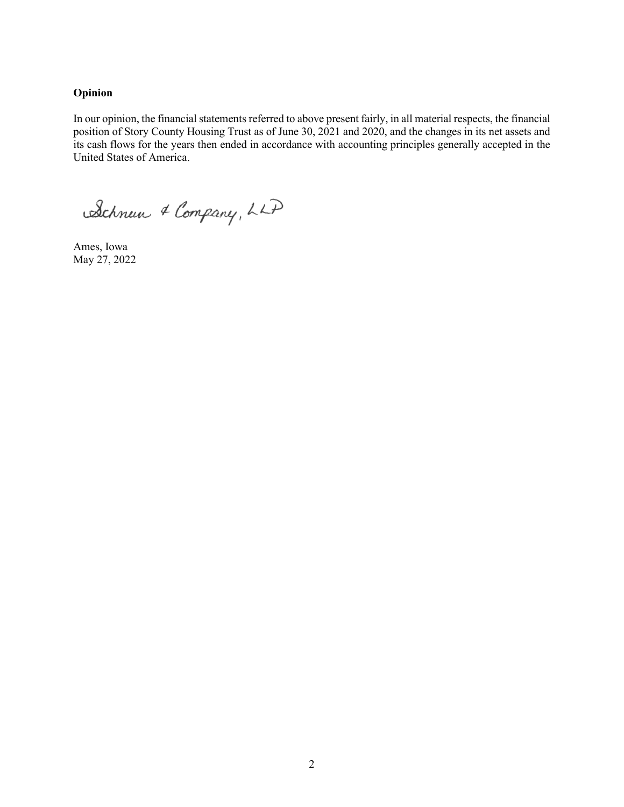# **Opinion**

In our opinion, the financial statements referred to above present fairly, in all material respects, the financial position of Story County Housing Trust as of June 30, 2021 and 2020, and the changes in its net assets and its cash flows for the years then ended in accordance with accounting principles generally accepted in the United States of America.

Schnein & Company, LLP

Ames, Iowa May 27, 2022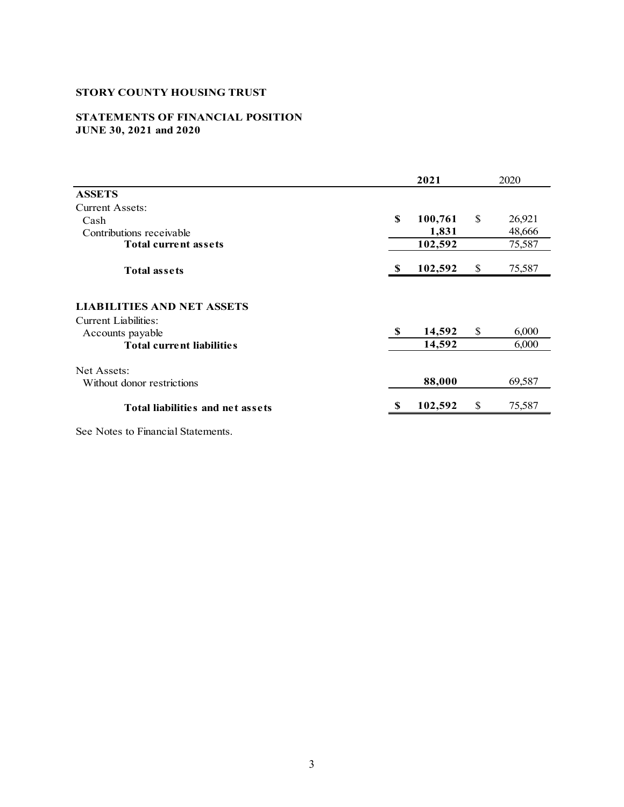## **STATEMENTS OF FINANCIAL POSITION JUNE 30, 2021 and 2020**

|                                                                                                                   |   | 2021             |               | 2020           |
|-------------------------------------------------------------------------------------------------------------------|---|------------------|---------------|----------------|
| <b>ASSETS</b>                                                                                                     |   |                  |               |                |
| <b>Current Assets:</b>                                                                                            |   |                  |               |                |
| Cash                                                                                                              | S | 100,761          | <sup>\$</sup> | 26,921         |
| Contributions receivable                                                                                          |   | 1,831            |               | 48,666         |
| <b>Total current assets</b>                                                                                       |   | 102,592          |               | 75,587         |
| <b>Total assets</b>                                                                                               |   | 102,592          | \$            | 75,587         |
| <b>LIABILITIES AND NET ASSETS</b><br>Current Liabilities:<br>Accounts payable<br><b>Total current liabilities</b> | S | 14,592<br>14,592 | <sup>\$</sup> | 6,000<br>6,000 |
| Net Assets:                                                                                                       |   |                  |               |                |
| Without donor restrictions                                                                                        |   | 88,000           |               | 69,587         |
| <b>Total liabilities and net assets</b>                                                                           |   | 102,592          | <sup>\$</sup> | 75,587         |
|                                                                                                                   |   |                  |               |                |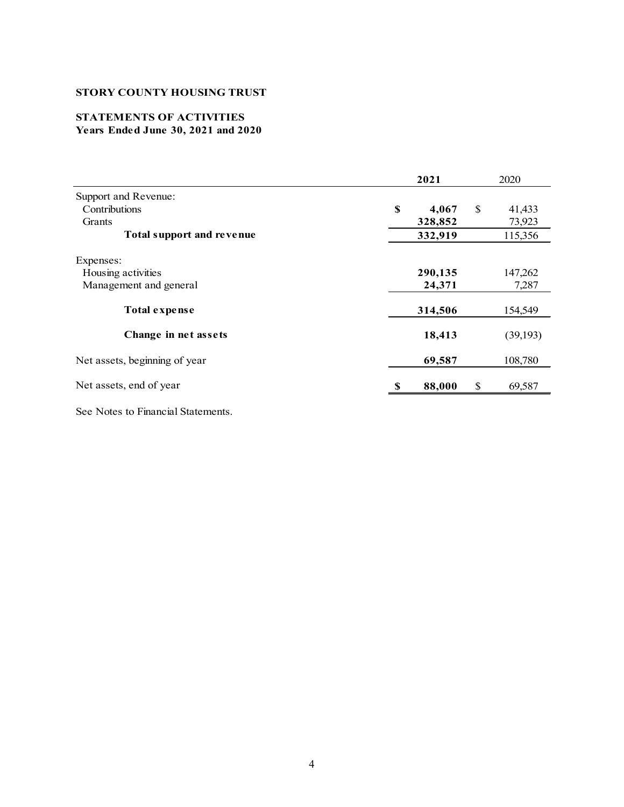# **STATEMENTS OF ACTIVITIES Years Ended June 30, 2021 and 2020**

|                                  |          | 2021    |     | 2020     |
|----------------------------------|----------|---------|-----|----------|
| Support and Revenue:             |          |         |     |          |
| Contributions                    | <b>S</b> | 4,067   | \$. | 41,433   |
| Grants                           |          | 328,852 |     | 73,923   |
| <b>Total support and revenue</b> |          | 332,919 |     | 115,356  |
| Expenses:                        |          |         |     |          |
| Housing activities               |          | 290,135 |     | 147,262  |
| Management and general           |          | 24,371  |     | 7,287    |
| <b>Total expense</b>             |          | 314,506 |     | 154,549  |
| Change in net assets             |          | 18,413  |     | (39,193) |
| Net assets, beginning of year    |          | 69,587  |     | 108,780  |
| Net assets, end of year          | £.       | 88,000  | \$  | 69,587   |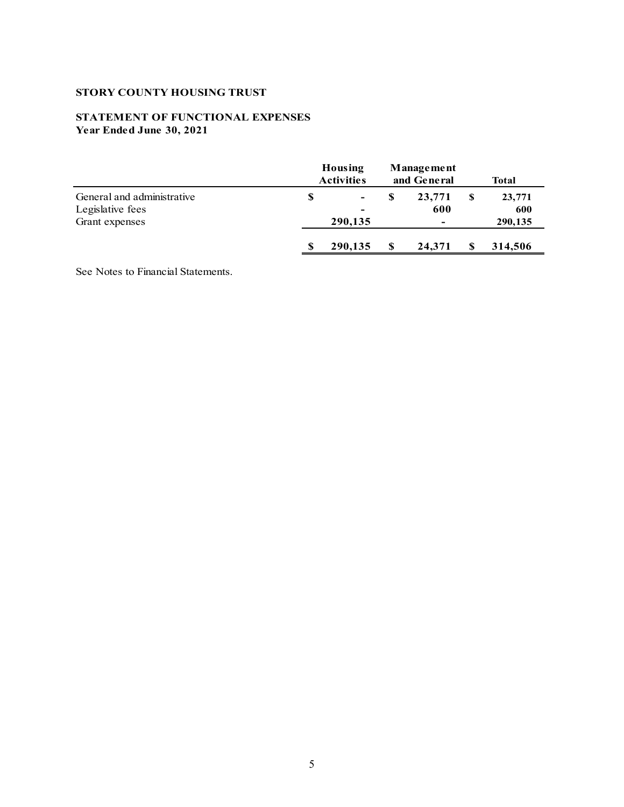## **Year Ended June 30, 2021 STATEMENT OF FUNCTIONAL EXPENSES**

|                                                |   | Housing<br><b>Activities</b>                             |   | Management<br>and General | Total |               |  |
|------------------------------------------------|---|----------------------------------------------------------|---|---------------------------|-------|---------------|--|
| General and administrative<br>Legislative fees | S | $\qquad \qquad \blacksquare$<br>$\overline{\phantom{a}}$ | S | 23,771<br>600             | S,    | 23,771<br>600 |  |
| Grant expenses                                 |   | 290,135                                                  |   | $\qquad \qquad$           |       | 290,135       |  |
|                                                |   | 290,135                                                  | S | 24,371                    |       | 314,506       |  |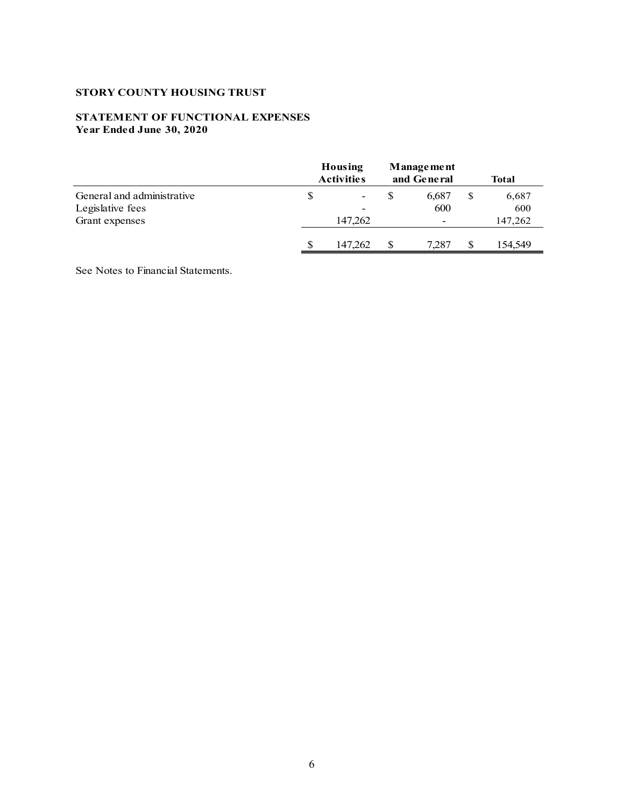## **Year Ended June 30, 2020 STATEMENT OF FUNCTIONAL EXPENSES**

|                                                                  |   | <b>Housing</b><br><b>Activities</b>                             |   | <b>Management</b><br>and General |   | Total                   |
|------------------------------------------------------------------|---|-----------------------------------------------------------------|---|----------------------------------|---|-------------------------|
| General and administrative<br>Legislative fees<br>Grant expenses | S | $\overline{\phantom{a}}$<br>$\overline{\phantom{0}}$<br>147,262 |   | 6.687<br>600                     | S | 6,687<br>600<br>147,262 |
|                                                                  |   | 147,262                                                         | S | 7,287                            | S | 154,549                 |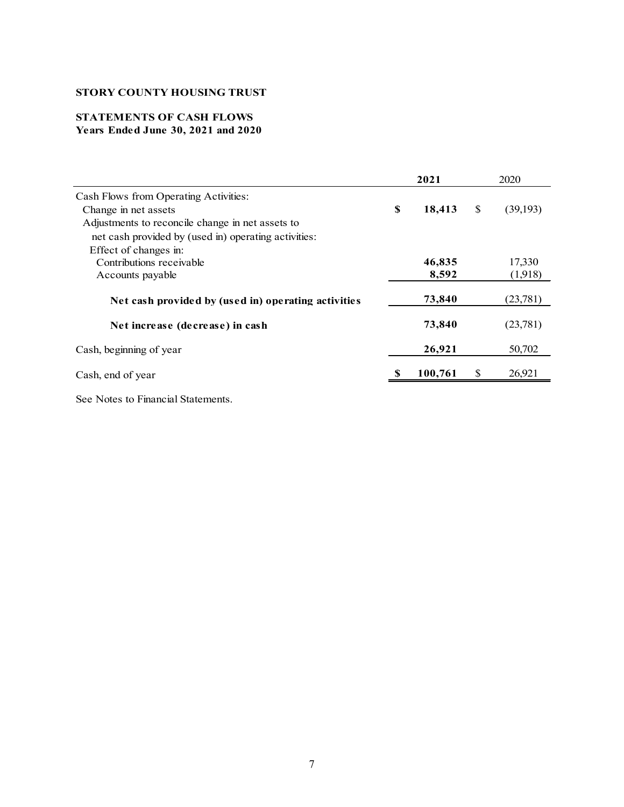# **STATEMENTS OF CASH FLOWS Years Ended June 30, 2021 and 2020**

|                                                                                                                                   |    | 2021            |    | 2020              |
|-----------------------------------------------------------------------------------------------------------------------------------|----|-----------------|----|-------------------|
| Cash Flows from Operating Activities:<br>Change in net assets                                                                     | \$ | 18,413          | \$ | (39,193)          |
| Adjustments to reconcile change in net assets to<br>net cash provided by (used in) operating activities:<br>Effect of changes in: |    |                 |    |                   |
| Contributions receivable<br>Accounts payable                                                                                      |    | 46,835<br>8,592 |    | 17,330<br>(1,918) |
| Net cash provided by (used in) operating activities                                                                               |    | 73,840          |    | (23,781)          |
| Net increase (decrease) in cash                                                                                                   |    | 73,840          |    | (23,781)          |
| Cash, beginning of year                                                                                                           |    | 26,921          |    | 50,702            |
| Cash, end of year                                                                                                                 | S  | 100,761         | S  | 26,921            |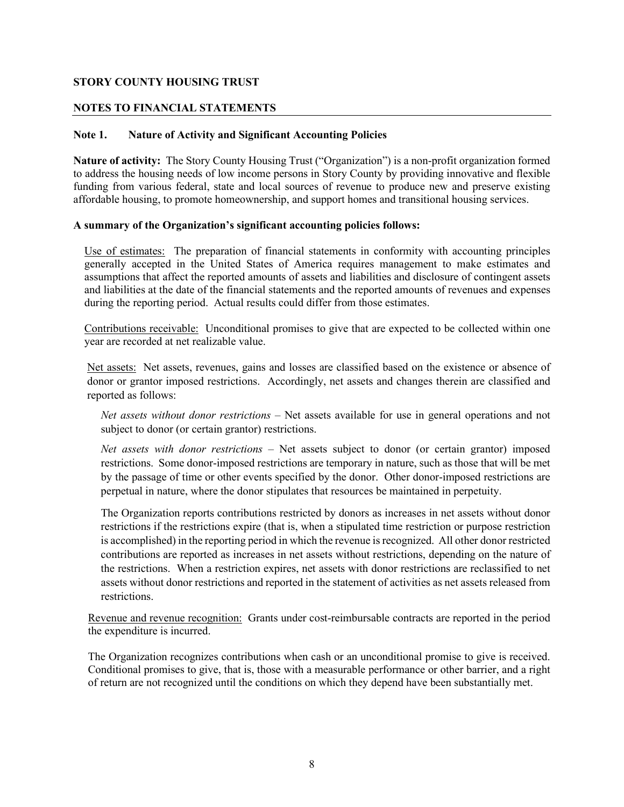# **NOTES TO FINANCIAL STATEMENTS**

#### **Note 1. Nature of Activity and Significant Accounting Policies**

**Nature of activity:** The Story County Housing Trust ("Organization") is a non-profit organization formed to address the housing needs of low income persons in Story County by providing innovative and flexible funding from various federal, state and local sources of revenue to produce new and preserve existing affordable housing, to promote homeownership, and support homes and transitional housing services.

#### **A summary of the Organization's significant accounting policies follows:**

Use of estimates: The preparation of financial statements in conformity with accounting principles generally accepted in the United States of America requires management to make estimates and assumptions that affect the reported amounts of assets and liabilities and disclosure of contingent assets and liabilities at the date of the financial statements and the reported amounts of revenues and expenses during the reporting period. Actual results could differ from those estimates.

Contributions receivable: Unconditional promises to give that are expected to be collected within one year are recorded at net realizable value.

Net assets: Net assets, revenues, gains and losses are classified based on the existence or absence of donor or grantor imposed restrictions. Accordingly, net assets and changes therein are classified and reported as follows:

*Net assets without donor restrictions* – Net assets available for use in general operations and not subject to donor (or certain grantor) restrictions.

*Net assets with donor restrictions* – Net assets subject to donor (or certain grantor) imposed restrictions. Some donor-imposed restrictions are temporary in nature, such as those that will be met by the passage of time or other events specified by the donor. Other donor-imposed restrictions are perpetual in nature, where the donor stipulates that resources be maintained in perpetuity.

The Organization reports contributions restricted by donors as increases in net assets without donor restrictions if the restrictions expire (that is, when a stipulated time restriction or purpose restriction is accomplished) in the reporting period in which the revenue is recognized. All other donor restricted contributions are reported as increases in net assets without restrictions, depending on the nature of the restrictions. When a restriction expires, net assets with donor restrictions are reclassified to net assets without donor restrictions and reported in the statement of activities as net assets released from restrictions.

Revenue and revenue recognition: Grants under cost-reimbursable contracts are reported in the period the expenditure is incurred.

The Organization recognizes contributions when cash or an unconditional promise to give is received. Conditional promises to give, that is, those with a measurable performance or other barrier, and a right of return are not recognized until the conditions on which they depend have been substantially met.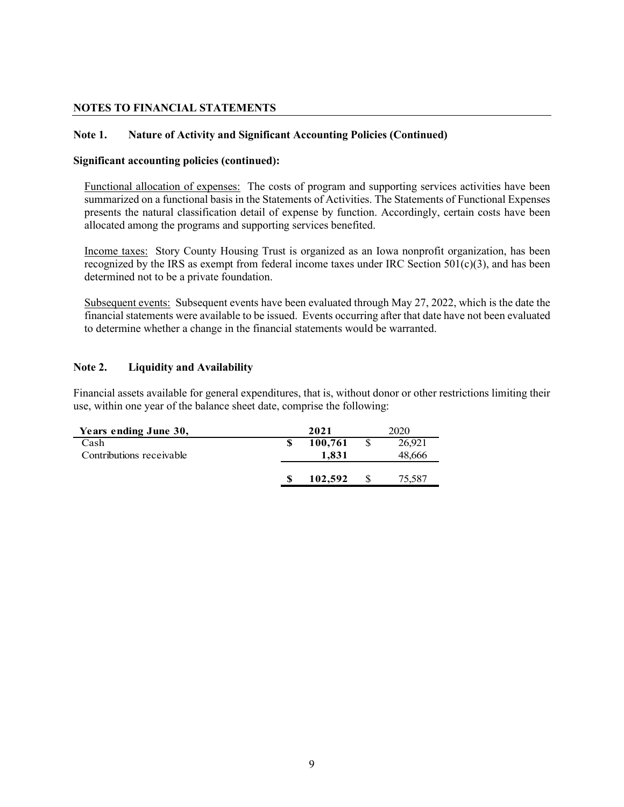## **NOTES TO FINANCIAL STATEMENTS**

#### **Note 1. Nature of Activity and Significant Accounting Policies (Continued)**

#### **Significant accounting policies (continued):**

Functional allocation of expenses: The costs of program and supporting services activities have been summarized on a functional basis in the Statements of Activities. The Statements of Functional Expenses presents the natural classification detail of expense by function. Accordingly, certain costs have been allocated among the programs and supporting services benefited.

Income taxes: Story County Housing Trust is organized as an Iowa nonprofit organization, has been recognized by the IRS as exempt from federal income taxes under IRC Section  $501(c)(3)$ , and has been determined not to be a private foundation.

Subsequent events: Subsequent events have been evaluated through May 27, 2022, which is the date the financial statements were available to be issued. Events occurring after that date have not been evaluated to determine whether a change in the financial statements would be warranted.

## **Note 2. Liquidity and Availability**

Financial assets available for general expenditures, that is, without donor or other restrictions limiting their use, within one year of the balance sheet date, comprise the following:

| Years ending June 30,    | 2021    |  | 2020   |
|--------------------------|---------|--|--------|
| Cash                     | 100,761 |  | 26,921 |
| Contributions receivable | 1.831   |  | 48,666 |
|                          |         |  |        |
|                          | 102,592 |  | 75,587 |